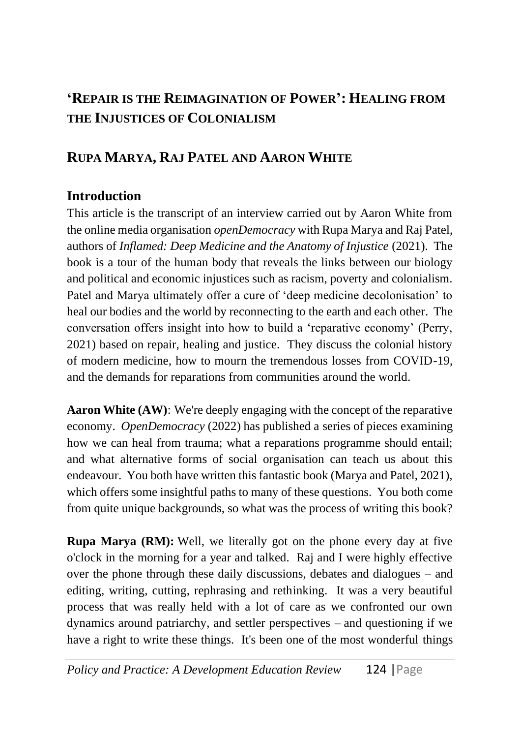## **'REPAIR IS THE REIMAGINATION OF POWER': HEALING FROM THE INJUSTICES OF COLONIALISM**

## **RUPA MARYA, RAJ PATEL AND AARON WHITE**

## **Introduction**

This article is the transcript of an interview carried out by Aaron White from the online media organisation *openDemocracy* with Rupa Marya and Raj Patel, authors of *Inflamed: Deep Medicine and the Anatomy of Injustice* (2021). The book is a tour of the human body that reveals the links between our biology and political and economic injustices such as racism, poverty and colonialism. Patel and Marya ultimately offer a cure of 'deep medicine decolonisation' to heal our bodies and the world by reconnecting to the earth and each other. The conversation offers insight into how to build a 'reparative economy' (Perry, 2021) based on repair, healing and justice. They discuss the colonial history of modern medicine, how to mourn the tremendous losses from COVID-19, and the demands for reparations from communities around the world.

**Aaron White (AW)**: We're deeply engaging with the concept of the reparative economy. *OpenDemocracy* (2022) has published a series of pieces examining how we can heal from trauma; what a reparations programme should entail; and what alternative forms of social organisation can teach us about this endeavour. You both have written this fantastic book (Marya and Patel, 2021), which offers some insightful paths to many of these questions. You both come from quite unique backgrounds, so what was the process of writing this book?

**Rupa Marya (RM):** Well, we literally got on the phone every day at five o'clock in the morning for a year and talked. Raj and I were highly effective over the phone through these daily discussions, debates and dialogues – and editing, writing, cutting, rephrasing and rethinking. It was a very beautiful process that was really held with a lot of care as we confronted our own dynamics around patriarchy, and settler perspectives – and questioning if we have a right to write these things. It's been one of the most wonderful things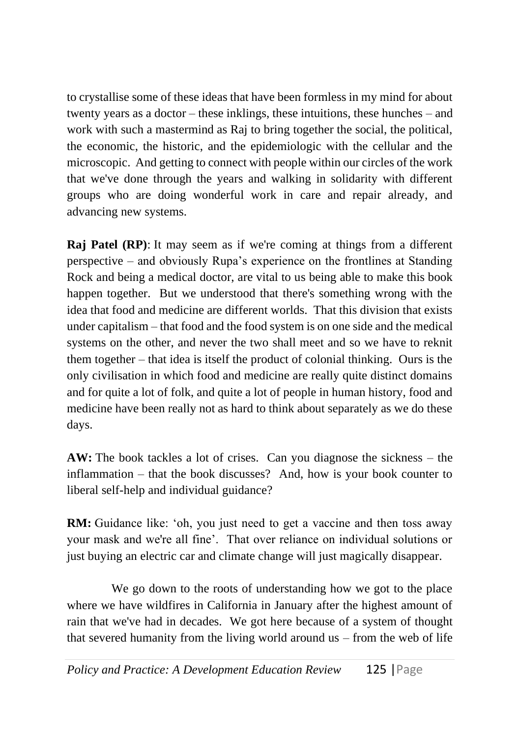to crystallise some of these ideas that have been formless in my mind for about twenty years as a doctor – these inklings, these intuitions, these hunches – and work with such a mastermind as Raj to bring together the social, the political, the economic, the historic, and the epidemiologic with the cellular and the microscopic. And getting to connect with people within our circles of the work that we've done through the years and walking in solidarity with different groups who are doing wonderful work in care and repair already, and advancing new systems.

**Raj Patel (RP)**: It may seem as if we're coming at things from a different perspective – and obviously Rupa's experience on the frontlines at Standing Rock and being a medical doctor, are vital to us being able to make this book happen together. But we understood that there's something wrong with the idea that food and medicine are different worlds. That this division that exists under capitalism – that food and the food system is on one side and the medical systems on the other, and never the two shall meet and so we have to reknit them together – that idea is itself the product of colonial thinking. Ours is the only civilisation in which food and medicine are really quite distinct domains and for quite a lot of folk, and quite a lot of people in human history, food and medicine have been really not as hard to think about separately as we do these days.

**AW:** The book tackles a lot of crises. Can you diagnose the sickness – the inflammation – that the book discusses? And, how is your book counter to liberal self-help and individual guidance?

**RM:** Guidance like: 'oh, you just need to get a vaccine and then toss away your mask and we're all fine'. That over reliance on individual solutions or just buying an electric car and climate change will just magically disappear.

We go down to the roots of understanding how we got to the place where we have wildfires in California in January after the highest amount of rain that we've had in decades. We got here because of a system of thought that severed humanity from the living world around us – from the web of life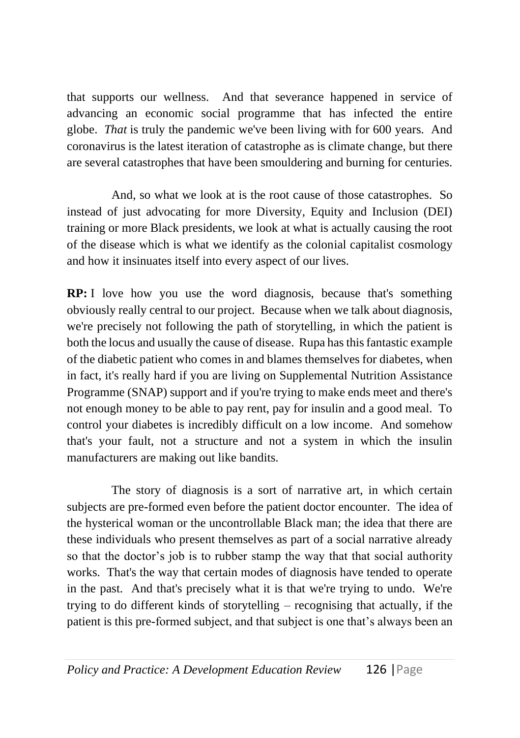that supports our wellness. And that severance happened in service of advancing an economic social programme that has infected the entire globe. *That* is truly the pandemic we've been living with for 600 years. And coronavirus is the latest iteration of catastrophe as is climate change, but there are several catastrophes that have been smouldering and burning for centuries.

And, so what we look at is the root cause of those catastrophes. So instead of just advocating for more Diversity, Equity and Inclusion (DEI) training or more Black presidents, we look at what is actually causing the root of the disease which is what we identify as the colonial capitalist cosmology and how it insinuates itself into every aspect of our lives.

**RP:** I love how you use the word diagnosis, because that's something obviously really central to our project. Because when we talk about diagnosis, we're precisely not following the path of storytelling, in which the patient is both the locus and usually the cause of disease. Rupa has this fantastic example of the diabetic patient who comes in and blames themselves for diabetes, when in fact, it's really hard if you are living on Supplemental Nutrition Assistance Programme (SNAP) support and if you're trying to make ends meet and there's not enough money to be able to pay rent, pay for insulin and a good meal. To control your diabetes is incredibly difficult on a low income. And somehow that's your fault, not a structure and not a system in which the insulin manufacturers are making out like bandits.

The story of diagnosis is a sort of narrative art, in which certain subjects are pre-formed even before the patient doctor encounter. The idea of the hysterical woman or the uncontrollable Black man; the idea that there are these individuals who present themselves as part of a social narrative already so that the doctor's job is to rubber stamp the way that that social authority works. That's the way that certain modes of diagnosis have tended to operate in the past. And that's precisely what it is that we're trying to undo. We're trying to do different kinds of storytelling – recognising that actually, if the patient is this pre-formed subject, and that subject is one that's always been an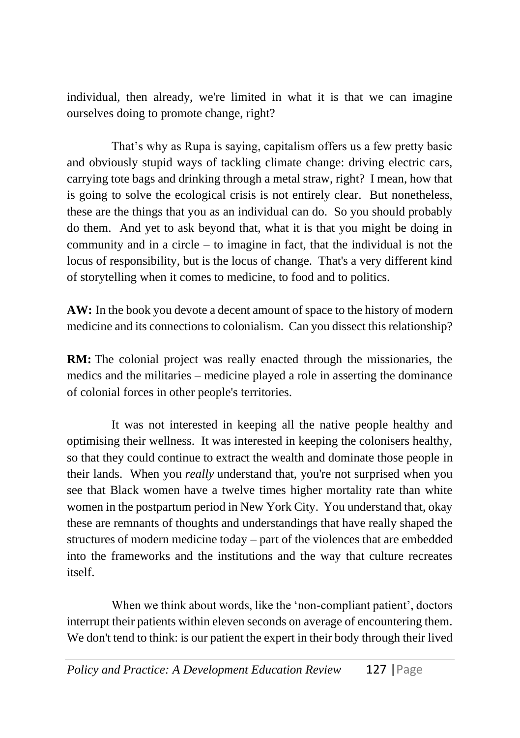individual, then already, we're limited in what it is that we can imagine ourselves doing to promote change, right?

That's why as Rupa is saying, capitalism offers us a few pretty basic and obviously stupid ways of tackling climate change: driving electric cars, carrying tote bags and drinking through a metal straw, right? I mean, how that is going to solve the ecological crisis is not entirely clear. But nonetheless, these are the things that you as an individual can do. So you should probably do them. And yet to ask beyond that, what it is that you might be doing in community and in a circle – to imagine in fact, that the individual is not the locus of responsibility, but is the locus of change. That's a very different kind of storytelling when it comes to medicine, to food and to politics.

**AW:** In the book you devote a decent amount of space to the history of modern medicine and its connections to colonialism. Can you dissect this relationship?

**RM:** The colonial project was really enacted through the missionaries, the medics and the militaries – medicine played a role in asserting the dominance of colonial forces in other people's territories.

It was not interested in keeping all the native people healthy and optimising their wellness. It was interested in keeping the colonisers healthy, so that they could continue to extract the wealth and dominate those people in their lands. When you *really* understand that, you're not surprised when you see that Black women have a twelve times higher mortality rate than white women in the postpartum period in New York City. You understand that, okay these are remnants of thoughts and understandings that have really shaped the structures of modern medicine today – part of the violences that are embedded into the frameworks and the institutions and the way that culture recreates itself.

When we think about words, like the 'non-compliant patient', doctors interrupt their patients within eleven seconds on average of encountering them. We don't tend to think: is our patient the expert in their body through their lived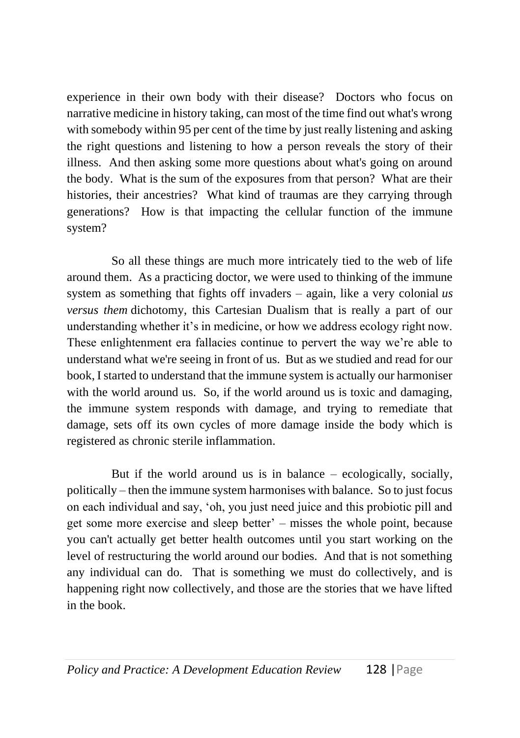experience in their own body with their disease? Doctors who focus on narrative medicine in history taking, can most of the time find out what's wrong with somebody within 95 per cent of the time by just really listening and asking the right questions and listening to how a person reveals the story of their illness. And then asking some more questions about what's going on around the body. What is the sum of the exposures from that person? What are their histories, their ancestries? What kind of traumas are they carrying through generations? How is that impacting the cellular function of the immune system?

So all these things are much more intricately tied to the web of life around them. As a practicing doctor, we were used to thinking of the immune system as something that fights off invaders – again, like a very colonial *us versus them* dichotomy, this Cartesian Dualism that is really a part of our understanding whether it's in medicine, or how we address ecology right now. These enlightenment era fallacies continue to pervert the way we're able to understand what we're seeing in front of us. But as we studied and read for our book, I started to understand that the immune system is actually our harmoniser with the world around us. So, if the world around us is toxic and damaging, the immune system responds with damage, and trying to remediate that damage, sets off its own cycles of more damage inside the body which is registered as chronic sterile inflammation.

But if the world around us is in balance  $-$  ecologically, socially, politically – then the immune system harmonises with balance. So to just focus on each individual and say, 'oh, you just need juice and this probiotic pill and get some more exercise and sleep better' – misses the whole point, because you can't actually get better health outcomes until you start working on the level of restructuring the world around our bodies. And that is not something any individual can do. That is something we must do collectively, and is happening right now collectively, and those are the stories that we have lifted in the book.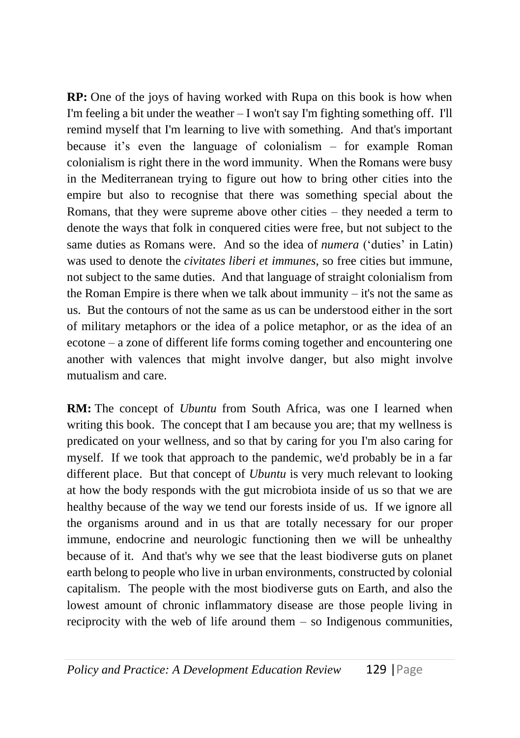**RP:** One of the joys of having worked with Rupa on this book is how when I'm feeling a bit under the weather  $-I$  won't say I'm fighting something off. I'll remind myself that I'm learning to live with something. And that's important because it's even the language of colonialism – for example Roman colonialism is right there in the word immunity. When the Romans were busy in the Mediterranean trying to figure out how to bring other cities into the empire but also to recognise that there was something special about the Romans, that they were supreme above other cities – they needed a term to denote the ways that folk in conquered cities were free, but not subject to the same duties as Romans were. And so the idea of *numera* ('duties' in Latin) was used to denote the *civitates liberi et immunes*, so free cities but immune, not subject to the same duties. And that language of straight colonialism from the Roman Empire is there when we talk about immunity – it's not the same as us. But the contours of not the same as us can be understood either in the sort of military metaphors or the idea of a police metaphor, or as the idea of an ecotone – a zone of different life forms coming together and encountering one another with valences that might involve danger, but also might involve mutualism and care.

**RM:** The concept of *Ubuntu* from South Africa, was one I learned when writing this book. The concept that I am because you are; that my wellness is predicated on your wellness, and so that by caring for you I'm also caring for myself. If we took that approach to the pandemic, we'd probably be in a far different place. But that concept of *Ubuntu* is very much relevant to looking at how the body responds with the gut microbiota inside of us so that we are healthy because of the way we tend our forests inside of us. If we ignore all the organisms around and in us that are totally necessary for our proper immune, endocrine and neurologic functioning then we will be unhealthy because of it. And that's why we see that the least biodiverse guts on planet earth belong to people who live in urban environments, constructed by colonial capitalism. The people with the most biodiverse guts on Earth, and also the lowest amount of chronic inflammatory disease are those people living in reciprocity with the web of life around them  $-$  so Indigenous communities,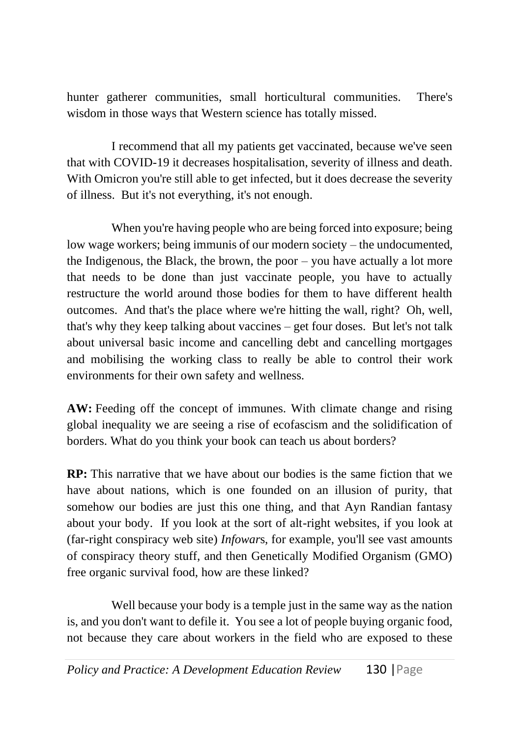hunter gatherer communities, small horticultural communities. There's wisdom in those ways that Western science has totally missed.

I recommend that all my patients get vaccinated, because we've seen that with COVID-19 it decreases hospitalisation, severity of illness and death. With Omicron you're still able to get infected, but it does decrease the severity of illness. But it's not everything, it's not enough.

When you're having people who are being forced into exposure; being low wage workers; being immunis of our modern society – the undocumented, the Indigenous, the Black, the brown, the poor – you have actually a lot more that needs to be done than just vaccinate people, you have to actually restructure the world around those bodies for them to have different health outcomes. And that's the place where we're hitting the wall, right? Oh, well, that's why they keep talking about vaccines – get four doses. But let's not talk about universal basic income and cancelling debt and cancelling mortgages and mobilising the working class to really be able to control their work environments for their own safety and wellness.

**AW:** Feeding off the concept of immunes. With climate change and rising global inequality we are seeing a rise of ecofascism and the solidification of borders. What do you think your book can teach us about borders?

**RP:** This narrative that we have about our bodies is the same fiction that we have about nations, which is one founded on an illusion of purity, that somehow our bodies are just this one thing, and that Ayn Randian fantasy about your body. If you look at the sort of alt-right websites, if you look at (far-right conspiracy web site) *Infowar*s, for example, you'll see vast amounts of conspiracy theory stuff, and then Genetically Modified Organism (GMO) free organic survival food, how are these linked?

Well because your body is a temple just in the same way as the nation is, and you don't want to defile it. You see a lot of people buying organic food, not because they care about workers in the field who are exposed to these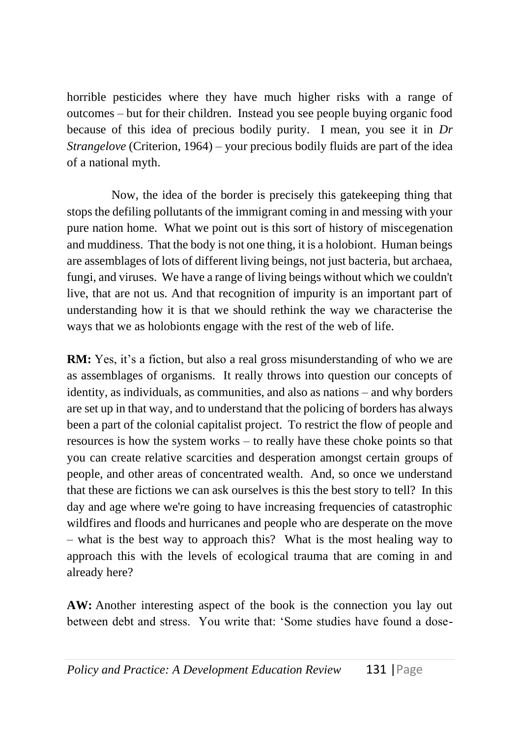horrible pesticides where they have much higher risks with a range of outcomes – but for their children. Instead you see people buying organic food because of this idea of precious bodily purity. I mean, you see it in *Dr Strangelove* (Criterion, 1964) – your precious bodily fluids are part of the idea of a national myth.

Now, the idea of the border is precisely this gatekeeping thing that stops the defiling pollutants of the immigrant coming in and messing with your pure nation home. What we point out is this sort of history of miscegenation and muddiness. That the body is not one thing, it is a holobiont. Human beings are assemblages of lots of different living beings, not just bacteria, but archaea, fungi, and viruses. We have a range of living beings without which we couldn't live, that are not us. And that recognition of impurity is an important part of understanding how it is that we should rethink the way we characterise the ways that we as holobionts engage with the rest of the web of life.

**RM:** Yes, it's a fiction, but also a real gross misunderstanding of who we are as assemblages of organisms. It really throws into question our concepts of identity, as individuals, as communities, and also as nations – and why borders are set up in that way, and to understand that the policing of borders has always been a part of the colonial capitalist project. To restrict the flow of people and resources is how the system works – to really have these choke points so that you can create relative scarcities and desperation amongst certain groups of people, and other areas of concentrated wealth. And, so once we understand that these are fictions we can ask ourselves is this the best story to tell? In this day and age where we're going to have increasing frequencies of catastrophic wildfires and floods and hurricanes and people who are desperate on the move – what is the best way to approach this? What is the most healing way to approach this with the levels of ecological trauma that are coming in and already here?

**AW:** Another interesting aspect of the book is the connection you lay out between debt and stress. You write that: 'Some studies have found a dose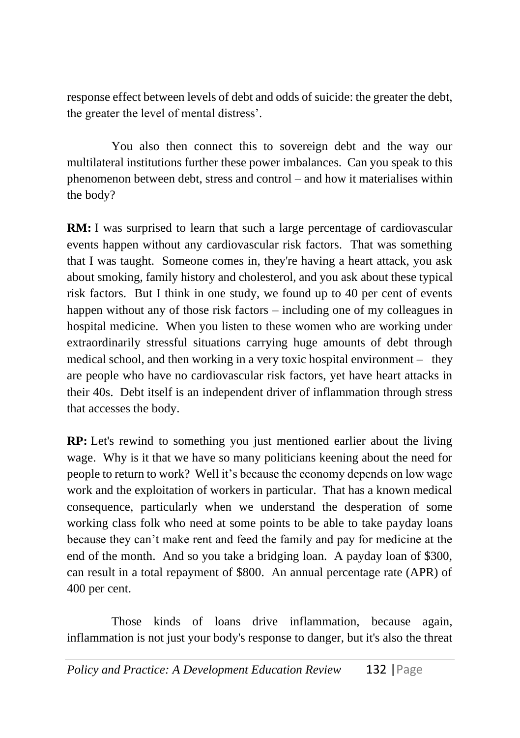response effect between levels of debt and odds of suicide: the greater the debt, the greater the level of mental distress'.

You also then connect this to sovereign debt and the way our multilateral institutions further these power imbalances. Can you speak to this phenomenon between debt, stress and control – and how it materialises within the body?

**RM:** I was surprised to learn that such a large percentage of cardiovascular events happen without any cardiovascular risk factors. That was something that I was taught. Someone comes in, they're having a heart attack, you ask about smoking, family history and cholesterol, and you ask about these typical risk factors. But I think in one study, we found up to 40 per cent of events happen without any of those risk factors – including one of my colleagues in hospital medicine. When you listen to these women who are working under extraordinarily stressful situations carrying huge amounts of debt through medical school, and then working in a very toxic hospital environment – they are people who have no cardiovascular risk factors, yet have heart attacks in their 40s. Debt itself is an independent driver of inflammation through stress that accesses the body.

**RP:** Let's rewind to something you just mentioned earlier about the living wage. Why is it that we have so many politicians keening about the need for people to return to work? Well it's because the economy depends on low wage work and the exploitation of workers in particular. That has a known medical consequence, particularly when we understand the desperation of some working class folk who need at some points to be able to take payday loans because they can't make rent and feed the family and pay for medicine at the end of the month. And so you take a bridging loan. A payday loan of \$300, can result in a total repayment of \$800. An annual percentage rate (APR) of 400 per cent.

Those kinds of loans drive inflammation, because again, inflammation is not just your body's response to danger, but it's also the threat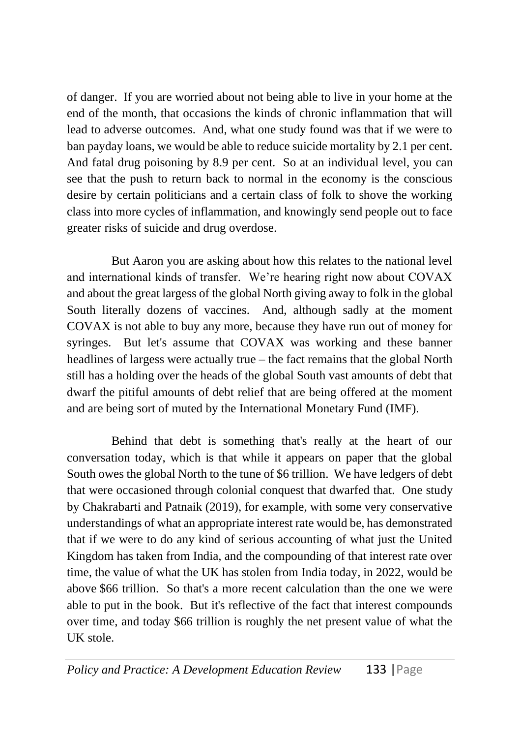of danger. If you are worried about not being able to live in your home at the end of the month, that occasions the kinds of chronic inflammation that will lead to adverse outcomes. And, what one study found was that if we were to ban payday loans, we would be able to reduce suicide mortality by 2.1 per cent. And fatal drug poisoning by 8.9 per cent. So at an individual level, you can see that the push to return back to normal in the economy is the conscious desire by certain politicians and a certain class of folk to shove the working class into more cycles of inflammation, and knowingly send people out to face greater risks of suicide and drug overdose.

But Aaron you are asking about how this relates to the national level and international kinds of transfer. We're hearing right now about COVAX and about the great largess of the global North giving away to folk in the global South literally dozens of vaccines. And, although sadly at the moment COVAX is not able to buy any more, because they have run out of money for syringes. But let's assume that COVAX was working and these banner headlines of largess were actually true – the fact remains that the global North still has a holding over the heads of the global South vast amounts of debt that dwarf the pitiful amounts of debt relief that are being offered at the moment and are being sort of muted by the International Monetary Fund (IMF).

Behind that debt is something that's really at the heart of our conversation today, which is that while it appears on paper that the global South owes the global North to the tune of \$6 trillion. We have ledgers of debt that were occasioned through colonial conquest that dwarfed that. One study by Chakrabarti and Patnaik (2019), for example, with some very conservative understandings of what an appropriate interest rate would be, has demonstrated that if we were to do any kind of serious accounting of what just the United Kingdom has taken from India, and the compounding of that interest rate over time, the value of what the UK has stolen from India today, in 2022, would be above \$66 trillion. So that's a more recent calculation than the one we were able to put in the book. But it's reflective of the fact that interest compounds over time, and today \$66 trillion is roughly the net present value of what the UK stole.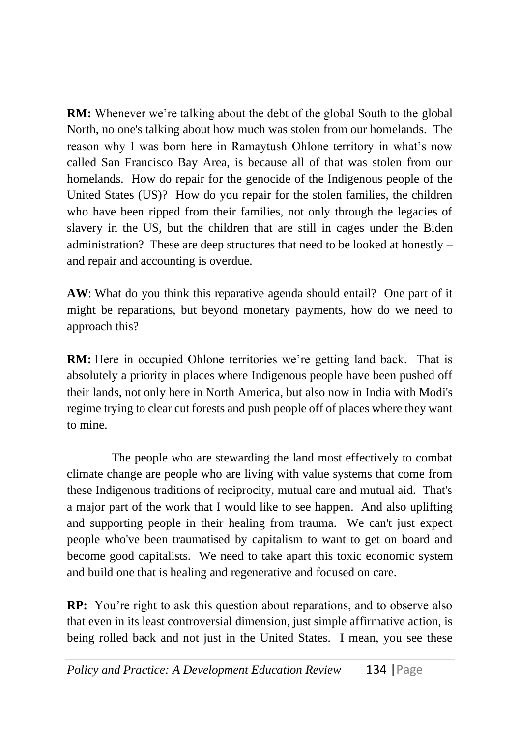**RM:** Whenever we're talking about the debt of the global South to the global North, no one's talking about how much was stolen from our homelands. The reason why I was born here in Ramaytush Ohlone territory in what's now called San Francisco Bay Area, is because all of that was stolen from our homelands. How do repair for the genocide of the Indigenous people of the United States (US)? How do you repair for the stolen families, the children who have been ripped from their families, not only through the legacies of slavery in the US, but the children that are still in cages under the Biden administration? These are deep structures that need to be looked at honestly – and repair and accounting is overdue.

**AW**: What do you think this reparative agenda should entail? One part of it might be reparations, but beyond monetary payments, how do we need to approach this?

**RM:** Here in occupied Ohlone territories we're getting land back. That is absolutely a priority in places where Indigenous people have been pushed off their lands, not only here in North America, but also now in India with Modi's regime trying to clear cut forests and push people off of places where they want to mine.

The people who are stewarding the land most effectively to combat climate change are people who are living with value systems that come from these Indigenous traditions of reciprocity, mutual care and mutual aid. That's a major part of the work that I would like to see happen. And also uplifting and supporting people in their healing from trauma. We can't just expect people who've been traumatised by capitalism to want to get on board and become good capitalists. We need to take apart this toxic economic system and build one that is healing and regenerative and focused on care.

**RP:** You're right to ask this question about reparations, and to observe also that even in its least controversial dimension, just simple affirmative action, is being rolled back and not just in the United States. I mean, you see these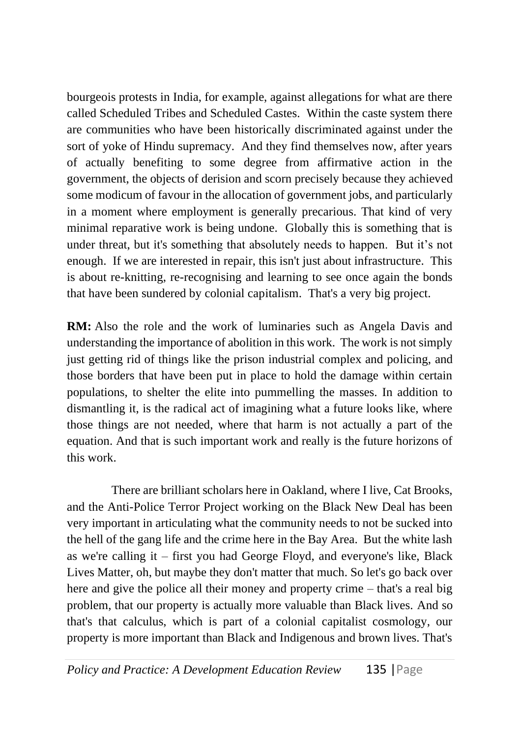bourgeois protests in India, for example, against allegations for what are there called Scheduled Tribes and Scheduled Castes. Within the caste system there are communities who have been historically discriminated against under the sort of yoke of Hindu supremacy. And they find themselves now, after years of actually benefiting to some degree from affirmative action in the government, the objects of derision and scorn precisely because they achieved some modicum of favour in the allocation of government jobs, and particularly in a moment where employment is generally precarious. That kind of very minimal reparative work is being undone. Globally this is something that is under threat, but it's something that absolutely needs to happen. But it's not enough. If we are interested in repair, this isn't just about infrastructure. This is about re-knitting, re-recognising and learning to see once again the bonds that have been sundered by colonial capitalism. That's a very big project.

**RM:** Also the role and the work of luminaries such as Angela Davis and understanding the importance of abolition in this work. The work is not simply just getting rid of things like the prison industrial complex and policing, and those borders that have been put in place to hold the damage within certain populations, to shelter the elite into pummelling the masses. In addition to dismantling it, is the radical act of imagining what a future looks like, where those things are not needed, where that harm is not actually a part of the equation. And that is such important work and really is the future horizons of this work.

There are brilliant scholars here in Oakland, where I live, Cat Brooks, and the Anti-Police Terror Project working on the Black New Deal has been very important in articulating what the community needs to not be sucked into the hell of the gang life and the crime here in the Bay Area. But the white lash as we're calling it – first you had George Floyd, and everyone's like, Black Lives Matter, oh, but maybe they don't matter that much. So let's go back over here and give the police all their money and property crime – that's a real big problem, that our property is actually more valuable than Black lives. And so that's that calculus, which is part of a colonial capitalist cosmology, our property is more important than Black and Indigenous and brown lives. That's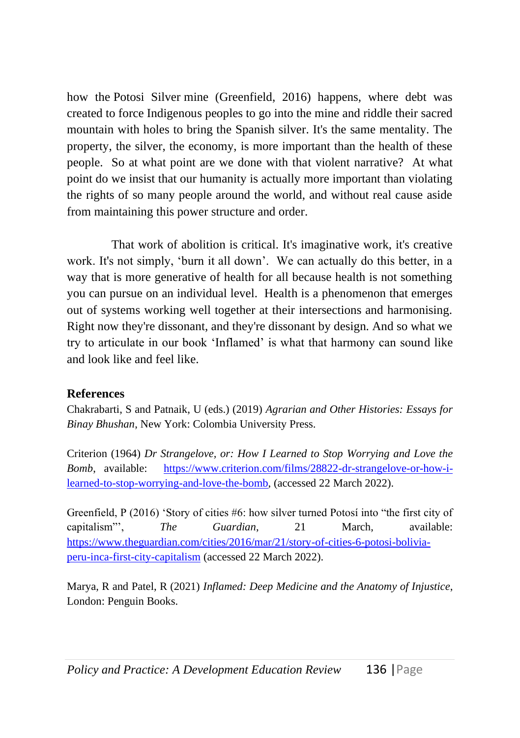how the Potosi Silver mine (Greenfield, 2016) happens, where debt was created to force Indigenous peoples to go into the mine and riddle their sacred mountain with holes to bring the Spanish silver. It's the same mentality. The property, the silver, the economy, is more important than the health of these people. So at what point are we done with that violent narrative? At what point do we insist that our humanity is actually more important than violating the rights of so many people around the world, and without real cause aside from maintaining this power structure and order.

That work of abolition is critical. It's imaginative work, it's creative work. It's not simply, 'burn it all down'. We can actually do this better, in a way that is more generative of health for all because health is not something you can pursue on an individual level. Health is a phenomenon that emerges out of systems working well together at their intersections and harmonising. Right now they're dissonant, and they're dissonant by design. And so what we try to articulate in our book 'Inflamed' is what that harmony can sound like and look like and feel like.

## **References**

Chakrabarti, S and Patnaik, U (eds.) (2019) *Agrarian and Other Histories: Essays for Binay Bhushan*, New York: Colombia University Press.

Criterion (1964) *Dr Strangelove, or: How I Learned to Stop Worrying and Love the Bomb*, available: [https://www.criterion.com/films/28822-dr-strangelove-or-how-i](https://www.criterion.com/films/28822-dr-strangelove-or-how-i-learned-to-stop-worrying-and-love-the-bomb)[learned-to-stop-worrying-and-love-the-bomb,](https://www.criterion.com/films/28822-dr-strangelove-or-how-i-learned-to-stop-worrying-and-love-the-bomb) (accessed 22 March 2022).

Greenfield, P (2016) 'Story of cities #6: how silver turned Potosí into "the first city of capitalism"', *The Guardian*, 21 March, available: [https://www.theguardian.com/cities/2016/mar/21/story-of-cities-6-potosi-bolivia](https://www.theguardian.com/cities/2016/mar/21/story-of-cities-6-potosi-bolivia-peru-inca-first-city-capitalism)[peru-inca-first-city-capitalism](https://www.theguardian.com/cities/2016/mar/21/story-of-cities-6-potosi-bolivia-peru-inca-first-city-capitalism) (accessed 22 March 2022).

Marya, R and Patel, R (2021) *Inflamed: Deep Medicine and the Anatomy of Injustice*, London: Penguin Books.